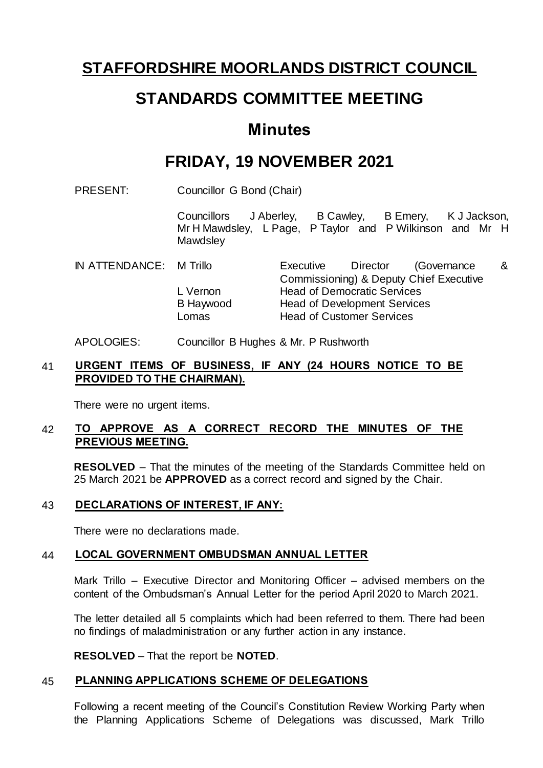# **STAFFORDSHIRE MOORLANDS DISTRICT COUNCIL**

# **STANDARDS COMMITTEE MEETING**

# **Minutes**

# **FRIDAY, 19 NOVEMBER 2021**

PRESENT: Councillor G Bond (Chair)

Councillors J Aberley, B Cawley, B Emery, K J Jackson, Mr H Mawdsley, L Page, P Taylor and P Wilkinson and Mr H **Mawdsley** 

IN ATTENDANCE: M Trillo Executive Director (Governance & Commissioning) & Deputy Chief Executive L Vernon Head of Democratic Services B Haywood Head of Development Services Lomas Head of Customer Services

#### APOLOGIES: Councillor B Hughes & Mr. P Rushworth

### 41 **URGENT ITEMS OF BUSINESS, IF ANY (24 HOURS NOTICE TO BE PROVIDED TO THE CHAIRMAN).**

There were no urgent items.

### 42 **TO APPROVE AS A CORRECT RECORD THE MINUTES OF THE PREVIOUS MEETING.**

**RESOLVED** – That the minutes of the meeting of the Standards Committee held on 25 March 2021 be **APPROVED** as a correct record and signed by the Chair.

#### 43 **DECLARATIONS OF INTEREST, IF ANY:**

There were no declarations made.

#### 44 **LOCAL GOVERNMENT OMBUDSMAN ANNUAL LETTER**

Mark Trillo – Executive Director and Monitoring Officer – advised members on the content of the Ombudsman's Annual Letter for the period April 2020 to March 2021.

The letter detailed all 5 complaints which had been referred to them. There had been no findings of maladministration or any further action in any instance.

**RESOLVED** – That the report be **NOTED**.

#### 45 **PLANNING APPLICATIONS SCHEME OF DELEGATIONS**

Following a recent meeting of the Council's Constitution Review Working Party when the Planning Applications Scheme of Delegations was discussed, Mark Trillo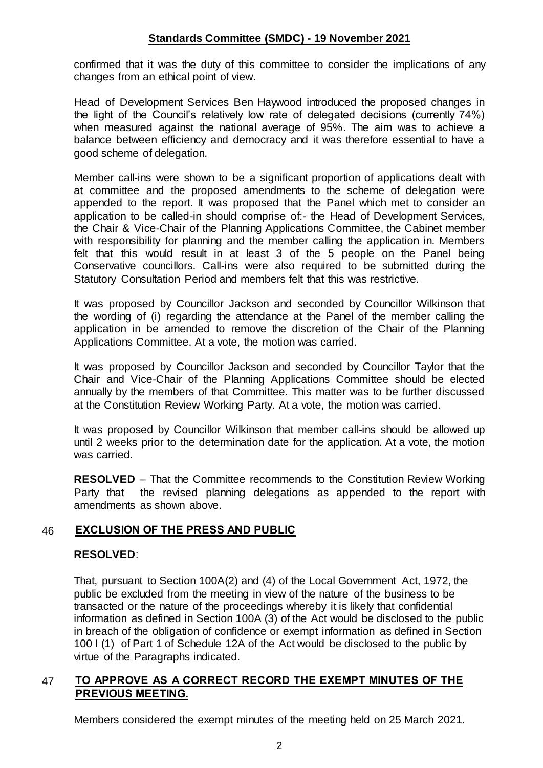### **Standards Committee (SMDC) - 19 November 2021**

confirmed that it was the duty of this committee to consider the implications of any changes from an ethical point of view.

Head of Development Services Ben Haywood introduced the proposed changes in the light of the Council's relatively low rate of delegated decisions (currently 74%) when measured against the national average of 95%. The aim was to achieve a balance between efficiency and democracy and it was therefore essential to have a good scheme of delegation.

Member call-ins were shown to be a significant proportion of applications dealt with at committee and the proposed amendments to the scheme of delegation were appended to the report. It was proposed that the Panel which met to consider an application to be called-in should comprise of:- the Head of Development Services, the Chair & Vice-Chair of the Planning Applications Committee, the Cabinet member with responsibility for planning and the member calling the application in. Members felt that this would result in at least 3 of the 5 people on the Panel being Conservative councillors. Call-ins were also required to be submitted during the Statutory Consultation Period and members felt that this was restrictive.

It was proposed by Councillor Jackson and seconded by Councillor Wilkinson that the wording of (i) regarding the attendance at the Panel of the member calling the application in be amended to remove the discretion of the Chair of the Planning Applications Committee. At a vote, the motion was carried.

It was proposed by Councillor Jackson and seconded by Councillor Taylor that the Chair and Vice-Chair of the Planning Applications Committee should be elected annually by the members of that Committee. This matter was to be further discussed at the Constitution Review Working Party. At a vote, the motion was carried.

It was proposed by Councillor Wilkinson that member call-ins should be allowed up until 2 weeks prior to the determination date for the application. At a vote, the motion was carried.

**RESOLVED** – That the Committee recommends to the Constitution Review Working Party that the revised planning delegations as appended to the report with amendments as shown above.

## 46 **EXCLUSION OF THE PRESS AND PUBLIC**

#### **RESOLVED**:

That, pursuant to Section 100A(2) and (4) of the Local Government Act, 1972, the public be excluded from the meeting in view of the nature of the business to be transacted or the nature of the proceedings whereby it is likely that confidential information as defined in Section 100A (3) of the Act would be disclosed to the public in breach of the obligation of confidence or exempt information as defined in Section 100 I (1) of Part 1 of Schedule 12A of the Act would be disclosed to the public by virtue of the Paragraphs indicated.

## 47 **TO APPROVE AS A CORRECT RECORD THE EXEMPT MINUTES OF THE PREVIOUS MEETING.**

Members considered the exempt minutes of the meeting held on 25 March 2021.